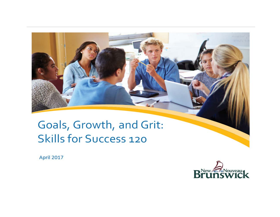# <span id="page-0-0"></span>Goals, Growth, and Grit: **Skills for Success 120**

**April 2017** 

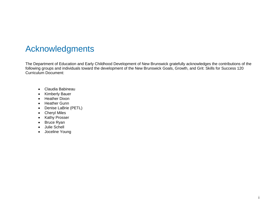### Acknowledgments

The Department of Education and Early Childhood Development of New Brunswick gratefully acknowledges the contributions of the following groups and individuals toward the development of the New Brunswick Goals, Growth, and Grit: Skills for Success 120 Curriculum Document:

- Claudia Babineau
- Kimberly Bauer
- Heather Dixon
- Heather Gunn
- Denise LaBrie (PETL)
- Cheryl Miles
- Kathy Prosser
- Bruce Ryan
- Julie Schell
- Joceline Young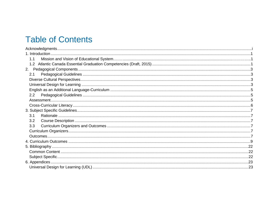# **Table of Contents**

<span id="page-2-0"></span>

| 1.1 |  |
|-----|--|
| 1.2 |  |
|     |  |
| 2.1 |  |
|     |  |
|     |  |
|     |  |
| 2.2 |  |
|     |  |
|     |  |
|     |  |
| 3.1 |  |
| 3.2 |  |
| 3.3 |  |
|     |  |
|     |  |
|     |  |
|     |  |
|     |  |
|     |  |
|     |  |
|     |  |
|     |  |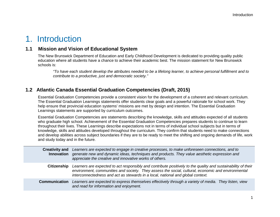### 1. Introduction

### <span id="page-3-0"></span>**1.1 Mission and Vision of Educational System**

The New Brunswick Department of Education and Early Childhood Development is dedicated to providing quality public education where all students have a chance to achieve their academic best. The mission statement for New Brunswick schools is:

*"To have each student develop the attributes needed to be a lifelong learner, to achieve personal fulfillment and to contribute to a productive, just and democratic society."*

### <span id="page-3-1"></span>**1.2 Atlantic Canada Essential Graduation Competencies (Draft, 2015)**

Essential Graduation Competencies provide a consistent vision for the development of a coherent and relevant curriculum. The Essential Graduation Learnings statements offer students clear goals and a powerful rationale for school work. They help ensure that provincial education systems' missions are met by design and intention. The Essential Graduation Learnings statements are supported by curriculum outcomes.

Essential Graduation Competencies are statements describing the knowledge, skills and attitudes expected of all students who graduate high school. Achievement of the Essential Graduation Competencies prepares students to continue to learn throughout their lives. These Learnings describe expectations not in terms of individual school subjects but in terms of knowledge, skills and attitudes developed throughout the curriculum. They confirm that students need to make connections and develop abilities across subject boundaries if they are to be ready to meet the shifting and ongoing demands of life, work and study today and in the future.

| <b>Creativity and</b><br><b>Innovation</b> | Learners are expected to engage in creative processes, to make unforeseen connections, and to<br>generate new and dynamic ideas, techniques and products. They value aesthetic expression and<br>appreciate the creative and innovative works of others.                                               |
|--------------------------------------------|--------------------------------------------------------------------------------------------------------------------------------------------------------------------------------------------------------------------------------------------------------------------------------------------------------|
| <b>Citizenship</b>                         | Learners are expected to act responsibly and contribute positively to the quality and sustainability of their<br>environment, communities and society. They assess the social, cultural, economic and environmental<br>interconnectedness and act as stewards in a local, national and global context. |
| <b>Communication</b>                       | Learners are expected to express themselves effectively through a variety of media. They listen, view<br>and read for information and enjoyment.                                                                                                                                                       |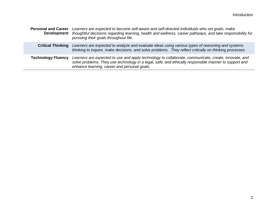| <b>Personal and Career</b> | Learners are expected to become self-aware and self-directed individuals who set goals, make<br>Development thoughtful decisions regarding learning, health and wellness, career pathways, and take responsibility for<br>pursuing their goals throughout life. |  |  |
|----------------------------|-----------------------------------------------------------------------------------------------------------------------------------------------------------------------------------------------------------------------------------------------------------------|--|--|
| <b>Critical Thinking</b>   | Learners are expected to analyze and evaluate ideas using various types of reasoning and systems<br>thinking to inquire, make decisions, and solve problems. They reflect critically on thinking processes.                                                     |  |  |
| <b>Technology Fluency</b>  | Learners are expected to use and apply technology to collaborate, communicate, create, innovate, and<br>solve problems. They use technology in a legal, safe, and ethically responsible manner to support and<br>enhance learning, career and personal goals.   |  |  |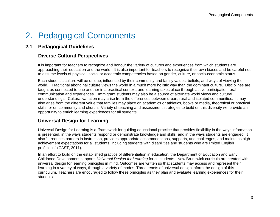# <span id="page-5-0"></span>2. Pedagogical Components

### <span id="page-5-1"></span>**2.1 Pedagogical Guidelines**

### <span id="page-5-2"></span>**Diverse Cultural Perspectives**

It is important for teachers to recognize and honour the variety of cultures and experiences from which students are approaching their education and the world. It is also important for teachers to recognize their own biases and be careful not to assume levels of physical, social or academic competencies based on gender, culture, or socio-economic status.

Each student's culture will be unique, influenced by their community and family values, beliefs, and ways of viewing the world. Traditional aboriginal culture views the world in a much more holistic way than the dominant culture. Disciplines are taught as connected to one another in a practical context, and learning takes place through active participation, oral communication and experiences. Immigrant students may also be a source of alternate world views and cultural understandings. Cultural variation may arise from the differences between urban, rural and isolated communities. It may also arise from the different value that families may place on academics or athletics, books or media, theoretical or practical skills, or on community and church. Variety of teaching and assessment strategies to build on this diversity will provide an opportunity to enrich learning experiences for all students.

### <span id="page-5-3"></span>**Universal Design for Learning**

Universal Design for Learning is a "framework for guiding educational practice that provides flexibility in the ways information is presented, in the ways students respond or demonstrate knowledge and skills, and in the ways students are engaged. It also "...reduces barriers in instruction, provides appropriate accommodations, supports, and challenges, and maintains high achievement expectations for all students, including students with disabilities and students who are limited English proficient." (CAST, 2011).

In an effort to build on the established practice of differentiation in education, the Department of Education and Early Childhood Development supports *Universal Design for Learning* for all students. New Brunswick curricula are created with universal design for learning principles in mind. Outcomes are written so that students may access and represent their learning in a variety of ways, through a variety of modes. Three tenets of universal design inform the design of this curriculum. Teachers are encouraged to follow these principles as they plan and evaluate learning experiences for their students: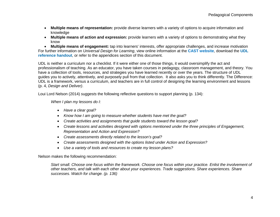- **Multiple means of representation:** provide diverse learners with a variety of options to acquire information and knowledge
- **Multiple means of action and expression:** provide learners with a variety of options to demonstrating what they know

• **Multiple means of engagement:** tap into learners' interests, offer appropriate challenges, and increase motivation For further information on *Universal Design for Learning*, view online information at [the](http://www.cast.org/) **[CAST website](http://www.cast.org/)**, download the **[UDL](https://portal.nbed.nb.ca/pd/Reading/UDL_PD/UDL%20Docs/October%20PD%20Day/Oct%2010%20Intro/Oct10_Intro%20output/story_content/external_files/Quick_Reference.pdf)  [reference handout](https://portal.nbed.nb.ca/pd/Reading/UDL_PD/UDL%20Docs/October%20PD%20Day/Oct%2010%20Intro/Oct10_Intro%20output/story_content/external_files/Quick_Reference.pdf)**, or refer to the appendices section of this document.

UDL is neither a curriculum nor a checklist. If it were either one of those things, it would oversimplify the act and professionalism of teaching. As an educator, you have taken courses in pedagogy, classroom management, and theory. You have a collection of tools, resources, and strategies you have learned recently or over the years. The structure of UDL guides you to actively, attentively, and purposely pull from that collection. It also asks you to think differently. The Difference: UDL is a framework, versus a curriculum, and teachers are in full control of designing the learning environment and lessons (p. 4, *Design and Deliver)*.

Loui Lord Nelson (2014) *suggests* the following reflective questions to support planning (p. 134):

*When I plan my lessons do I:*

- *Have a clear goal?*
- *Know how I am going to measure whether students have met the goal?*
- *Create activities and assignments that guide students toward the lesson goal?*
- *Create lessons and activities designed with options mentioned under the three principles of Engagement, Representation and Action and Expression?*
- *Create assessments directly related to the lesson's goal?*
- *Create assessments designed with the options listed under Action and Expression?*
- *Use a variety of tools and resources to create my lesson plans?*

Nelson makes the following recommendation:

*Start small. Choose one focus within the framework. Choose one focus within your practice. Enlist the involvement of other teachers, and talk with each other about your experiences. Trade suggestions. Share experiences. Share successes. Watch for change. (p. 136)*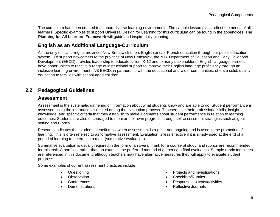The curriculum has been created to support diverse learning environments. The sample lesson plans reflect the needs of all learners. Specific examples to support Universal Design for Learning for this curriculum can be found in the appendices. The **Planning for All Learners Framework** will guide and inspire daily planning.

### <span id="page-7-0"></span>**English as an Additional Language-Curriculum**

As the only official bilingual province, New Brunswick offers English and/or French education through our public education system. To support newcomers to the province of New Brunswick, the N.B. Department of Education and Early Childhood Development (EECD) provides leadership to educators from K-12 and to many stakeholders. English language learners have opportunities to receive a range of instructional support to improve their English language proficiency through an inclusive learning environment. NB EECD, in partnership with the educational and wider communities, offers a solid, quality education to families with school-aged children.

### <span id="page-7-2"></span><span id="page-7-1"></span>**2.2 Pedagogical Guidelines**

#### **Assessment**

Assessment is the systematic gathering of information about what students know and are able to do. Student performance is assessed using the information collected during the evaluation process. Teachers use their professional skills, insight, knowledge, and specific criteria that they establish to make judgments about student performance in relation to learning outcomes. Students are also encouraged to monitor their own progress through self-assessment strategies such as goal setting and rubrics.

Research indicates that students benefit most when assessment is regular and ongoing and is used in the promotion of learning. This is often referred to as formative assessment. Evaluation is less effective if it is simply used at the end of a period of learning to determine a mark (summative evaluation).

Summative evaluation is usually required in the form of an overall mark for a course of study, and rubrics are recommended for this task. A portfolio, rather than an exam, is the preferred method of gathering a final evaluation. Sample rubric templates are referenced in this document; although teachers may have alternative measures they will apply to evaluate student progress.

Some examples of current assessment practices include:

- 
- 
- 
- 
- Questioning **•** Projects and Investigations
- **Observation Checklists/Rubrics Checklists/Rubrics**
- Conferences Responses to texts/activities
	- Demonstrations Reflective Journals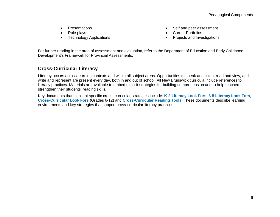- 
- 
- Role plays Career Portfolios
- **Presentations •** Self and peer assessment
	-
	- Projects and Investigations

For further reading in the area of assessment and evaluation, refer to the Department of Education and Early Childhood Development's Framework for Provincial Assessments.

### <span id="page-8-0"></span>**Cross-Curricular Literacy**

Literacy occurs across learning contexts and within all subject areas. Opportunities to speak and listen, read and view, and write and represent are present every day, both in and out of school. All New Brunswick curricula include references to literacy practices. Materials are available to embed explicit strategies for building comprehension and to help teachers strengthen their students' reading skills.

Key documents that highlight specific cross- curricular strategies include: **[K-2 Literacy Look Fors](https://portal.nbed.nb.ca/tr/lr/Elementary%20School%20English%20Lang/Literacy%20Look%20Fors/Literacy%20Look%20Fors%20K%20-%202%20with%20Links.pdf)**, **[3-5 Literacy Look Fors](https://portal.nbed.nb.ca/tr/lr/Elementary%20School%20English%20Lang/Literacy%20Look%20Fors/Literacy%20Look%20Fors%20Grades%203%20-%205%20with%20links.pdf)**, **[Cross-Curricular Look Fors](https://portal.nbed.nb.ca/tr/lr/Curriculum%20Support%20Resources/CCLF%20Portal%20Version%20Links.pdf)** (Grades 6-12) and **[Cross-Curricular Reading Tools](https://portal.nbed.nb.ca/tr/lr/Curriculum%20Support%20Resources/Cross-Curricular%20Reading%20Tools.pdf)**. These documents describe learning environments and key strategies that support cross-curricular literacy practices.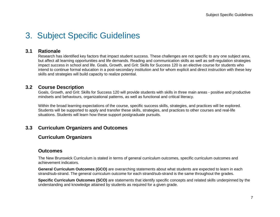# <span id="page-9-0"></span>3. Subject Specific Guidelines

#### <span id="page-9-1"></span>**3.1 Rationale**

Research has identified key factors that impact student success. These challenges are not specific to any one subject area, but affect all learning opportunities and life demands. Reading and communication skills as well as self-regulation strategies impact success in school and life. Goals, Growth, and Grit: Skills for Success 120 is an elective course for students who intend to continue formal education in a post-secondary institution and for whom explicit and direct instruction with these key skills and strategies will build capacity to realize potential.

#### <span id="page-9-2"></span>**3.2 Course Description**

Goals, Growth, and Grit: Skills for Success 120 will provide students with skills in three main areas - positive and productive mindsets and behaviours, organizational patterns, as well as functional and critical literacy.

Within the broad learning expectations of the course, specific success skills, strategies, and practices will be explored. Students will be supported to apply and transfer these skills, strategies, and practices to other courses and real-life situations. Students will learn how these support postgraduate pursuits.

#### <span id="page-9-4"></span><span id="page-9-3"></span>**3.3 Curriculum Organizers and Outcomes**

### **Curriculum Organizers**

#### <span id="page-9-5"></span>**Outcomes**

The New Brunswick Curriculum is stated in terms of general curriculum outcomes, specific curriculum outcomes and achievement indicators.

**General Curriculum Outcomes (GCO)** are overarching statements about what students are expected to learn in each strand/sub-strand. The general curriculum outcome for each strand/sub-strand is the same throughout the grades.

**Specific Curriculum Outcomes (SCO)** are statements that identify specific concepts and related skills underpinned by the understanding and knowledge attained by students as required for a given grade.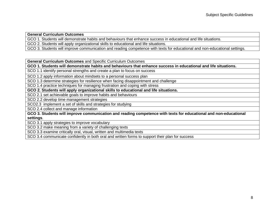**General Curriculum Outcomes**

GCO 1. Students will demonstrate habits and behaviours that enhance success in educational and life situations.

GCO 2. Students will apply organizational skills to educational and life situations.

GCO 3. Students will improve communication and reading competence with texts for educational and non-educational settings.

**General Curriculum Outcomes** and Specific Curriculum Outcomes

**GCO 1. Students will demonstrate habits and behaviours that enhance success in educational and life situations.**

SCO 1.1 identify personal strengths and create a plan to focus on success

SCO 1.2 apply information about mindsets to a personal success plan

SCO 1.3 determine strategies for resilience when facing disappointment and challenge

SCO 1.4 practice techniques for managing frustration and coping with stress

**GCO 2. Students will apply organizational skills to educational and life situations.**

SCO 2.1 set achievable goals to improve habits and behaviours

SCO 2.2 develop time management strategies

SCO2.3 implement a set of skills and strategies for studying

SCO 2.4 collect and manage information

**GCO 3. Students will improve communication and reading competence with texts for educational and non-educational settings**.

SCO 3.1 apply strategies to improve vocabulary

SCO 3.2 make meaning from a variety of challenging texts

SCO 3.3 examine critically oral, visual, written and multimedia texts

SCO 3.4 communicate confidently in both oral and written forms to support their plan for success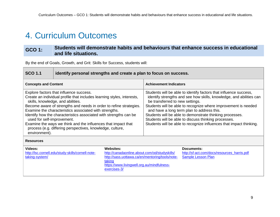# <span id="page-11-0"></span>4. Curriculum Outcomes

### **GCO 1: Students will demonstrate habits and behaviours that enhance success in educational and life situations.**

By the end of Goals, Growth, and Grit: Skills for Success, students will:

| <b>SCO 1.1</b> | didentify personal strengths and create a plan to focus on success. |
|----------------|---------------------------------------------------------------------|
|                |                                                                     |

| <b>Concepts and Content</b>                                                                                                                                                                                                                                                                                                                                                                                                                                                                                                              | <b>Achievement Indicators</b>                                                                                                                                                                                                                                                                                                                                                                                                                                                          |
|------------------------------------------------------------------------------------------------------------------------------------------------------------------------------------------------------------------------------------------------------------------------------------------------------------------------------------------------------------------------------------------------------------------------------------------------------------------------------------------------------------------------------------------|----------------------------------------------------------------------------------------------------------------------------------------------------------------------------------------------------------------------------------------------------------------------------------------------------------------------------------------------------------------------------------------------------------------------------------------------------------------------------------------|
| Explore factors that influence success.<br>Create an individual profile that includes learning styles, interests,<br>skills, knowledge, and abilities.<br>Become aware of strengths and needs in order to refine strategies.<br>Examine the characteristics associated with strengths.<br>Identify how the characteristics associated with strengths can be<br>used for self-improvement.<br>Examine the ways we think and the influences that impact that<br>process (e.g. differing perspectives, knowledge, culture,<br>environment). | Students will be able to identify factors that influence success,<br>identify strengths and see how skills, knowledge, and abilities can<br>be transferred to new settings.<br>Students will be able to recognize where improvement is needed<br>and have a long term plan to address this.<br>Students will be able to demonstrate thinking processes.<br>Students will be able to discuss thinking processes.<br>Students will be able to recognize influences that impact thinking. |

**Resources** 

| Videos:                                           | Websites:                                       | Documents:                                  |
|---------------------------------------------------|-------------------------------------------------|---------------------------------------------|
| http://lsc.cornell.edu/study-skills/cornell-note- | http://canadaonline.about.com/od/studyskills/   | http://sf-act.com/docs/resources_harris.pdf |
| taking-system/                                    | http://sass.uottawa.ca/en/mentoring/tools/note- | Sample Lesson Plan                          |
|                                                   | taking                                          |                                             |
|                                                   | https://www.livingwell.org.au/mindfulness-      |                                             |
|                                                   | exercises-3/                                    |                                             |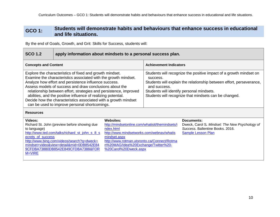#### **GCO 1: Students will demonstrate habits and behaviours that enhance success in educational and life situations.**

| <b>SCO 1.2</b>                                                                                                                                                                                                                                                                                                                                                                                                                                                                                            | apply information about mindsets to a personal success plan.                                                                                                                                                                |                                                                                                                                                                                                                                                              |                                                                                                                                                                                                                                                  |                                                                                                                        |
|-----------------------------------------------------------------------------------------------------------------------------------------------------------------------------------------------------------------------------------------------------------------------------------------------------------------------------------------------------------------------------------------------------------------------------------------------------------------------------------------------------------|-----------------------------------------------------------------------------------------------------------------------------------------------------------------------------------------------------------------------------|--------------------------------------------------------------------------------------------------------------------------------------------------------------------------------------------------------------------------------------------------------------|--------------------------------------------------------------------------------------------------------------------------------------------------------------------------------------------------------------------------------------------------|------------------------------------------------------------------------------------------------------------------------|
| <b>Concepts and Content</b>                                                                                                                                                                                                                                                                                                                                                                                                                                                                               |                                                                                                                                                                                                                             |                                                                                                                                                                                                                                                              | <b>Achievement Indicators</b>                                                                                                                                                                                                                    |                                                                                                                        |
| Explore the characteristics of fixed and growth mindset.<br>Examine the characteristics associated with the growth mindset.<br>Analyze how effort and persistence influence success.<br>Assess models of success and draw conclusions about the<br>relationship between effort, strategies and persistence, improved<br>abilities, and the positive influence of realizing potential.<br>Decide how the characteristics associated with a growth mindset<br>can be used to improve personal shortcomings. |                                                                                                                                                                                                                             | success.<br>and success.                                                                                                                                                                                                                                     | Students will recognize the positive impact of a growth mindset on<br>Students will explain the relationship between effort, perseverance,<br>Students will identify personal mindsets.<br>Students will recognize that mindsets can be changed. |                                                                                                                        |
| <b>Resources</b>                                                                                                                                                                                                                                                                                                                                                                                                                                                                                          |                                                                                                                                                                                                                             |                                                                                                                                                                                                                                                              |                                                                                                                                                                                                                                                  |                                                                                                                        |
| Videos:<br>to language)<br>ecrets_of_success<br>M=VIRE                                                                                                                                                                                                                                                                                                                                                                                                                                                    | Richard St. John (preview before showing due<br>http://www.ted.com/talks/richard_st_john_s_8_s<br>http://www.bing.com/videos/search?q=dweck+<br>mindset+video&view=detail∣=0DB8542E84<br>9CFDBA73880DB8542E849CFDBA7388&FOR | <b>Websites:</b><br>http://mindsetonline.com/whatisit/themindsets/i<br>ndex.html<br>http://www.mindsetworks.com/webnav/whatis<br>mindset.aspx<br>http://www.rotman.utoronto.ca/Connect/Rotma<br>n%20MAG/Idea%20Exchange/Twitter%20-<br>%20Carol%20Dweck.aspx |                                                                                                                                                                                                                                                  | Documents:<br>Dweck, Carol S. Mindset: The New Psychology of<br>Success, Ballentine Books, 2016.<br>Sample Lesson Plan |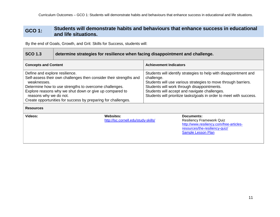#### **GCO 1: Students will demonstrate habits and behaviours that enhance success in educational and life situations.**

| <b>SCO 1.3</b>                                                                                                                                                                                                                                                                                                                                          | determine strategies for resilience when facing disappointment and challenge. |                                                                                                                                                                                                                                                                                                                          |                               |                                                                                                                                                    |
|---------------------------------------------------------------------------------------------------------------------------------------------------------------------------------------------------------------------------------------------------------------------------------------------------------------------------------------------------------|-------------------------------------------------------------------------------|--------------------------------------------------------------------------------------------------------------------------------------------------------------------------------------------------------------------------------------------------------------------------------------------------------------------------|-------------------------------|----------------------------------------------------------------------------------------------------------------------------------------------------|
| <b>Concepts and Content</b>                                                                                                                                                                                                                                                                                                                             |                                                                               |                                                                                                                                                                                                                                                                                                                          | <b>Achievement Indicators</b> |                                                                                                                                                    |
| Define and explore resilience.<br>Self-assess their own challenges then consider their strengths and<br>weaknesses.<br>Determine how to use strengths to overcome challenges.<br>Explore reasons why we shut down or give up compared to<br>reasons why we do not.<br>Create opportunities for success by preparing for challenges.<br><b>Resources</b> |                                                                               | Students will identify strategies to help with disappointment and<br>challenge.<br>Students will use various strategies to move through barriers.<br>Students will work through disappointments.<br>Students will accept and navigate challenges.<br>Students will prioritize tasks/goals in order to meet with success. |                               |                                                                                                                                                    |
| Videos:                                                                                                                                                                                                                                                                                                                                                 |                                                                               | Websites:<br>http://lsc.cornell.edu/study-skills/                                                                                                                                                                                                                                                                        |                               | Documents:<br><b>Resiliency Framework Quiz</b><br>http://www.resiliency.com/free-articles-<br>resources/the-resiliency-quiz/<br>Sample Lesson Plan |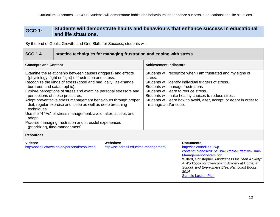#### **GCO 1: Students will demonstrate habits and behaviours that enhance success in educational and life situations.**

| <b>SCO 1.4</b>                                                                                                                                                                                                                                                                                                                                                                                                                                                                                                                                                                                                                                                  | practice techniques for managing frustration and coping with stress. |                                                                                                                                                                                                                                                                                                                                                                        |                               |                                                                                                                                                                                                                                                                                                              |
|-----------------------------------------------------------------------------------------------------------------------------------------------------------------------------------------------------------------------------------------------------------------------------------------------------------------------------------------------------------------------------------------------------------------------------------------------------------------------------------------------------------------------------------------------------------------------------------------------------------------------------------------------------------------|----------------------------------------------------------------------|------------------------------------------------------------------------------------------------------------------------------------------------------------------------------------------------------------------------------------------------------------------------------------------------------------------------------------------------------------------------|-------------------------------|--------------------------------------------------------------------------------------------------------------------------------------------------------------------------------------------------------------------------------------------------------------------------------------------------------------|
| <b>Concepts and Content</b>                                                                                                                                                                                                                                                                                                                                                                                                                                                                                                                                                                                                                                     |                                                                      |                                                                                                                                                                                                                                                                                                                                                                        | <b>Achievement Indicators</b> |                                                                                                                                                                                                                                                                                                              |
| Examine the relationship between causes (triggers) and effects<br>(physiology, fight or flight) of frustration and stress.<br>Recognize the kinds of stress (good and bad, daily, life-change,<br>burn-out, and catastrophic).<br>Explore perceptions of stress and examine personal stressors and<br>perceptions of these pressures.<br>Adopt preventative stress management behaviours through proper<br>diet, regular exercise and sleep as well as deep breathing<br>techniques.<br>Use the "4 "As" of stress management: avoid, alter, accept, and<br>adapt.<br>Practise managing frustration and stressful experiences<br>(prioritizing, time-management) |                                                                      | Students will recognize when I am frustrated and my signs of<br>stress.<br>Students will identify individual triggers of stress.<br>Students will manage frustrations<br>Students will learn to reduce stress.<br>Students will make healthy choices to reduce stress.<br>Students will learn how to avoid, alter, accept, or adapt in order to<br>manage and/or cope. |                               |                                                                                                                                                                                                                                                                                                              |
| <b>Resources</b>                                                                                                                                                                                                                                                                                                                                                                                                                                                                                                                                                                                                                                                |                                                                      |                                                                                                                                                                                                                                                                                                                                                                        |                               |                                                                                                                                                                                                                                                                                                              |
| Videos:                                                                                                                                                                                                                                                                                                                                                                                                                                                                                                                                                                                                                                                         | http://sass.uottawa.ca/en/personal/resources                         | <b>Websites:</b><br>http://lsc.cornell.edu/time-management/                                                                                                                                                                                                                                                                                                            |                               | Documents:<br>http://lsc.cornell.edu/wp-<br>content/uploads/2015/10/A-Simple-Effective-Time-<br>Management-System.pdf<br>Willard, Christopher. Mindfulness for Teen Anxiety:<br>A Workbook for Overcoming Anxiety at Home, at<br>School, and Everywhere Else. Raincoast Books.<br>2014<br>Sample Lesson Plan |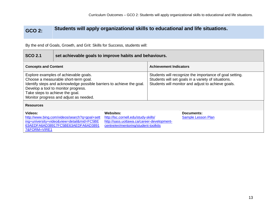### **GCO 2: Students will apply organizational skills to educational and life situations.**

| <b>SCO 2.1</b>                                                                                                                                                                                                                                                             | set achievable goals to improve habits and behaviours.                                                                                                                                                                                                                           |                                                                                                                                                                      |                               |                                  |  |
|----------------------------------------------------------------------------------------------------------------------------------------------------------------------------------------------------------------------------------------------------------------------------|----------------------------------------------------------------------------------------------------------------------------------------------------------------------------------------------------------------------------------------------------------------------------------|----------------------------------------------------------------------------------------------------------------------------------------------------------------------|-------------------------------|----------------------------------|--|
| <b>Concepts and Content</b>                                                                                                                                                                                                                                                |                                                                                                                                                                                                                                                                                  |                                                                                                                                                                      | <b>Achievement Indicators</b> |                                  |  |
| Explore examples of achievable goals.<br>Choose a measurable short-term goal.<br>Identify steps and acknowledge possible barriers to achieve the goal.<br>Develop a tool to monitor progress.<br>Take steps to achieve the goal.<br>Monitor progress and adjust as needed. |                                                                                                                                                                                                                                                                                  | Students will recognize the importance of goal setting.<br>Students will set goals in a variety of situations.<br>Students will monitor and adjust to achieve goals. |                               |                                  |  |
| <b>Resources</b>                                                                                                                                                                                                                                                           |                                                                                                                                                                                                                                                                                  |                                                                                                                                                                      |                               |                                  |  |
| Videos:<br>7&FORM=VIRE1                                                                                                                                                                                                                                                    | <b>Websites:</b><br>http://www.bing.com/videos/search?q=goal+sett<br>http://lsc.cornell.edu/study-skills/<br>ing+university+video&view=detail∣=FC5BE<br>http://sass.uottawa.ca/career-development-<br>63AEDFA6AD38917FC5BE63AEDFA6AD3891<br>centre/en/mentoring/student-toolkits |                                                                                                                                                                      |                               | Documents:<br>Sample Lesson Plan |  |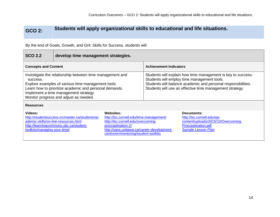### **GCO 2: Students will apply organizational skills to educational and life situations.**

| <b>SCO 2.2</b>                                                                                                                                                                                                                                                          | develop time management strategies.                                                                                             |                                                                                                                                                                                                                                          |  |                                                                                                                                     |
|-------------------------------------------------------------------------------------------------------------------------------------------------------------------------------------------------------------------------------------------------------------------------|---------------------------------------------------------------------------------------------------------------------------------|------------------------------------------------------------------------------------------------------------------------------------------------------------------------------------------------------------------------------------------|--|-------------------------------------------------------------------------------------------------------------------------------------|
| <b>Concepts and Content</b>                                                                                                                                                                                                                                             |                                                                                                                                 | <b>Achievement Indicators</b>                                                                                                                                                                                                            |  |                                                                                                                                     |
| Investigate the relationship between time management and<br>success.<br>Explore examples of various time management tools.<br>Learn how to prioritize academic and personal demands.<br>Implement a time management strategy.<br>Monitor progress and adjust as needed. |                                                                                                                                 | Students will explain how time management is key to success.<br>Students will employ time management tools.<br>Students will balance academic and personal responsibilities.<br>Students will use an effective time management strategy. |  |                                                                                                                                     |
| <b>Resources</b>                                                                                                                                                                                                                                                        |                                                                                                                                 |                                                                                                                                                                                                                                          |  |                                                                                                                                     |
| Videos:<br>toolkits/managing-your-time/                                                                                                                                                                                                                                 | http://studentsuccess.mcmaster.ca/students/ac<br>ademic-skills/on-line-resources.html<br>http://learningcommons.ubc.ca/student- | <b>Websites:</b><br>http://lsc.cornell.edu/time-management/<br>http://lsc.cornell.edu/overcoming-<br>procrastination-2/<br>http://sass.uottawa.ca/career-development-<br>centre/en/mentoring/student-toolkits                            |  | Documents:<br>http://lsc.cornell.edu/wp-<br>content/uploads/2015/10/Overcoming-<br>Procrastination.pdf<br><b>Sample Lesson Plan</b> |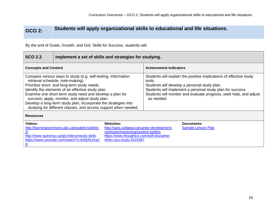### **GCO 2: Students will apply organizational skills to educational and life situations**.

| <b>SCO 2.3</b>                                                                                                                                                                                                                                                                                                                                                                                                                                               | implement a set of skills and strategies for studying.                                                                                         |                                                                                                                                                                                                                                                                                |                               |                                  |
|--------------------------------------------------------------------------------------------------------------------------------------------------------------------------------------------------------------------------------------------------------------------------------------------------------------------------------------------------------------------------------------------------------------------------------------------------------------|------------------------------------------------------------------------------------------------------------------------------------------------|--------------------------------------------------------------------------------------------------------------------------------------------------------------------------------------------------------------------------------------------------------------------------------|-------------------------------|----------------------------------|
| <b>Concepts and Content</b>                                                                                                                                                                                                                                                                                                                                                                                                                                  |                                                                                                                                                |                                                                                                                                                                                                                                                                                | <b>Achievement Indicators</b> |                                  |
| Compare various ways to study (e.g. self-testing, information<br>retrieval schedule, note-making).<br>Prioritize short- and long-term study needs.<br>Identify the elements of an effective study plan.<br>Examine one short-term study need and develop a plan for<br>success; apply, monitor, and adjust study plan.<br>Develop a long-term study plan, incorporate the strategies into<br>studying for different classes, and access support when needed. |                                                                                                                                                | Students will explain the positive implications of effective study<br>tools.<br>Students will develop a personal study plan.<br>Students will implement a personal study plan for success.<br>Students will monitor and evaluate progress, seek help, and adjust<br>as needed. |                               |                                  |
| <b>Resources</b>                                                                                                                                                                                                                                                                                                                                                                                                                                             |                                                                                                                                                |                                                                                                                                                                                                                                                                                |                               |                                  |
| Videos:                                                                                                                                                                                                                                                                                                                                                                                                                                                      | http://learningcommons.ubc.ca/student-toolkits-<br>http://www.queensu.ca/qlc/videos/study-skills<br>https://www.youtube.com/watch?v=khhjXkzXaZ | <b>Websites:</b><br>http://sass.uottawa.ca/career-development-<br>centre/en/mentoring/student-toolkits<br>https://www.thoughtco.com/self-discipline-<br>when-you-study-4103387                                                                                                 |                               | Documents:<br>Sample Lesson Plan |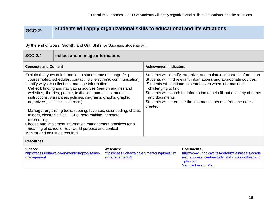[\\_plan.pdf](http://www.unbc.ca/sites/default/files/assets/academic_success_centre/study_skills_support/learning_plan.pdf)

[Sample Lesson Plan](https://collabe.nbed.nb.ca/res/sa/ela/DocumentSets/Goals%20Growth%20and%20Grit%20-%20Skills%20for%20Success%20120/GGG12%20Lesson%20Plan%202.3.docx?Web=1)

### **GCO 2: Students will apply organizational skills to educational and life situations**.

| <b>SCO 2.4</b>                                                                                                                                                                                                                                                                                                                                                                                                                                                                                                                                                                                                                                                                                                                                         | collect and manage information.                  |                                                                                      |                                                                                                                                                                                                                                                                                                                                                       |                                                                                                                              |
|--------------------------------------------------------------------------------------------------------------------------------------------------------------------------------------------------------------------------------------------------------------------------------------------------------------------------------------------------------------------------------------------------------------------------------------------------------------------------------------------------------------------------------------------------------------------------------------------------------------------------------------------------------------------------------------------------------------------------------------------------------|--------------------------------------------------|--------------------------------------------------------------------------------------|-------------------------------------------------------------------------------------------------------------------------------------------------------------------------------------------------------------------------------------------------------------------------------------------------------------------------------------------------------|------------------------------------------------------------------------------------------------------------------------------|
| <b>Concepts and Content</b>                                                                                                                                                                                                                                                                                                                                                                                                                                                                                                                                                                                                                                                                                                                            |                                                  | <b>Achievement Indicators</b>                                                        |                                                                                                                                                                                                                                                                                                                                                       |                                                                                                                              |
| Explain the types of information a student must manage (e.g.<br>course notes, schedules, contact lists, electronic communication).<br>Identify ways to collect and manage information.<br><b>Collect:</b> finding and navigating sources (search engines and<br>websites, libraries, people, textbooks, pamphlets, manuals,<br>instructions, warranties, policies, diagrams, graphs, graphic<br>organizers, statistics, contracts).<br><b>Manage:</b> organizing tools, tabbing, favorites, color coding, charts,<br>folders, electronic files, USBs, note-making, annotate,<br>referencing.<br>Choose and implement information management practices for a<br>meaningful school or real-world purpose and context.<br>Monitor and adjust as required. |                                                  | challenging to find.<br>and documents.<br>created.                                   | Students will identify, organize, and maintain important information.<br>Students will find relevant information using appropriate sources.<br>Students will continue to search even when information is<br>Students will search for information to help fill out a variety of forms<br>Students will determine the information needed from the notes |                                                                                                                              |
| <b>Resources</b>                                                                                                                                                                                                                                                                                                                                                                                                                                                                                                                                                                                                                                                                                                                                       |                                                  |                                                                                      |                                                                                                                                                                                                                                                                                                                                                       |                                                                                                                              |
| Videos:<br>management                                                                                                                                                                                                                                                                                                                                                                                                                                                                                                                                                                                                                                                                                                                                  | https://sass.uottawa.ca/en/mentoring/tools/time- | <b>Websites:</b><br>https://sass.uottawa.ca/en/mentoring/tools/tim<br>e-management#2 |                                                                                                                                                                                                                                                                                                                                                       | <b>Documents:</b><br>http://www.unbc.ca/sites/default/files/assets/acade<br>mic_success_centre/study_skills_support/learning |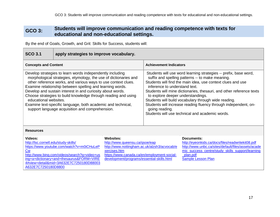### **GCO 3: Students will improve communication and reading competence with texts for educational and non-educational settings.**

| <b>SCO 3.1</b>                                                                                                                                                                                                                                                                                                                                                                                                                                                                                                                          | apply strategies to improve vocabulary.                                                                                                                                       |                                                                                                                                                                                                                                                                                                                                                                                                                                                                                                                                   |  |                                                                                                                                                                                                               |
|-----------------------------------------------------------------------------------------------------------------------------------------------------------------------------------------------------------------------------------------------------------------------------------------------------------------------------------------------------------------------------------------------------------------------------------------------------------------------------------------------------------------------------------------|-------------------------------------------------------------------------------------------------------------------------------------------------------------------------------|-----------------------------------------------------------------------------------------------------------------------------------------------------------------------------------------------------------------------------------------------------------------------------------------------------------------------------------------------------------------------------------------------------------------------------------------------------------------------------------------------------------------------------------|--|---------------------------------------------------------------------------------------------------------------------------------------------------------------------------------------------------------------|
| <b>Concepts and Content</b>                                                                                                                                                                                                                                                                                                                                                                                                                                                                                                             |                                                                                                                                                                               | <b>Achievement Indicators</b>                                                                                                                                                                                                                                                                                                                                                                                                                                                                                                     |  |                                                                                                                                                                                                               |
| Develop strategies to learn words independently including<br>morphological strategies, etymology, the use of dictionaries and<br>other reference works, and various ways to use context clues.<br>Examine relationship between spelling and learning words.<br>Develop and sustain interest in and curiosity about words.<br>Choose strategies to build knowledge through reading and using<br>educational websites.<br>Examine text-specific language, both academic and technical,<br>support language acquisition and comprehension. |                                                                                                                                                                               | Students will use word learning strategies -- prefix, base word,<br>suffix and spelling patterns -- to make meaning.<br>Students will find the main idea, use context clues and use<br>inference to understand text.<br>Students will mine dictionaries, thesauri, and other reference texts<br>to explore deeper understandings.<br>Students will build vocabulary through wide reading.<br>Students will increase reading fluency through independent, on-<br>going reading.<br>Students will use technical and academic words. |  |                                                                                                                                                                                                               |
| <b>Resources</b>                                                                                                                                                                                                                                                                                                                                                                                                                                                                                                                        |                                                                                                                                                                               |                                                                                                                                                                                                                                                                                                                                                                                                                                                                                                                                   |  |                                                                                                                                                                                                               |
| Videos:<br>http://lsc.cornell.edu/study-skills/<br><b>Cw</b><br>A632E7C7250180D8800                                                                                                                                                                                                                                                                                                                                                                                                                                                     | https://www.youtube.com/watch?v=m0iCHuLeP<br>http://www.bing.com/videos/search?q=video+us<br>ing+a+dictionary+and+thesaurus&FORM=VIRE<br>4#view=detail∣=3A632E7C7250180D88003 | <b>Websites:</b><br>http://www.queensu.ca/qsoe/eap<br>http://www.nottingham.ac.uk/alzsh3/acvocab/e<br>xercises.htm<br>https://www.canada.ca/en/employment-social-<br>development/programs/essential-skills.html                                                                                                                                                                                                                                                                                                                   |  | Documents:<br>http://eyeonkids.ca/docs/files/readwritekit08.pdf<br>http://www.unbc.ca/sites/default/files/assets/acade<br>mic_success_centre/study_skills_support/learning<br>_plan.pdf<br>Sample Lesson Plan |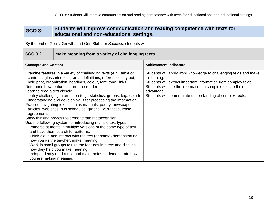### **GCO 3: Students will improve communication and reading competence with texts for educational and non-educational settings.**

| <b>SCO 3.2</b>                                                          | make meaning from a variety of challenging texts.                                                                                                                                                                                                                                                                                                                                                                                                                                                                                                                                                                                                                                                                                                                                                                                                                                                                                                                                                                                                        |                                                                                                                                                                                                                                                                                           |  |
|-------------------------------------------------------------------------|----------------------------------------------------------------------------------------------------------------------------------------------------------------------------------------------------------------------------------------------------------------------------------------------------------------------------------------------------------------------------------------------------------------------------------------------------------------------------------------------------------------------------------------------------------------------------------------------------------------------------------------------------------------------------------------------------------------------------------------------------------------------------------------------------------------------------------------------------------------------------------------------------------------------------------------------------------------------------------------------------------------------------------------------------------|-------------------------------------------------------------------------------------------------------------------------------------------------------------------------------------------------------------------------------------------------------------------------------------------|--|
| <b>Concepts and Content</b>                                             |                                                                                                                                                                                                                                                                                                                                                                                                                                                                                                                                                                                                                                                                                                                                                                                                                                                                                                                                                                                                                                                          | <b>Achievement Indicators</b>                                                                                                                                                                                                                                                             |  |
| Learn to read a text closely.<br>agreements.<br>you are making meaning. | Examine features in a variety of challenging texts (e.g., table of<br>contents, glossaries, diagrams, definitions, references, lay out,<br>bold print, organization, headings, colour, font, tone, links).<br>Determine how features inform the reader.<br>Identify challenging information (e.g., statistics, graphs, legalese) to<br>understanding and develop skills for processing the information.<br>Practice navigating texts such as manuals, poetry, newspaper<br>articles, web sites, bus schedules, graphs, warranties, lease<br>Show thinking process to demonstrate metacognition.<br>Use the following system for introducing multiple text types:<br>Immerse students in multiple versions of the same type of text<br>and have them search for patterns.<br>Think aloud and interact with the text (annotate) demonstrating<br>how you as the teacher, make meaning.<br>Work in small groups to use the features in a text and discuss<br>how they help you make meaning.<br>Independently read a text and make notes to demonstrate how | Students will apply word knowledge to challenging texts and make<br>meaning.<br>Students will extract important information from complex texts.<br>Students will use the information in complex texts to their<br>advantage.<br>Students will demonstrate understanding of complex texts. |  |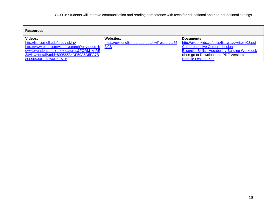| <b>Resources</b>                             |                                                |                                                        |
|----------------------------------------------|------------------------------------------------|--------------------------------------------------------|
| Videos:                                      | Websites:                                      | Documents:                                             |
| http://lsc.cornell.edu/study-skills/         | https://owl.english.purdue.edu/owl/resource/55 | http://eyeonkids.ca/docs/files/readwritekit08.pdf      |
| http://www.bing.com/videos/search?q=videos+h | 3/03/                                          | <b>Comprehensive Comprehension</b>                     |
| ow+to+understand+text+features&FORM=VIRE     |                                                | <b>Essential Skills - Vocabulary Building Workbook</b> |
| 3#view=detail∣=80056534DF59A6D5FA7B          |                                                | (then go to Download the PDF Version)                  |
| 80056534DF59A6D5FA7B                         |                                                | Sample Lesson Plan                                     |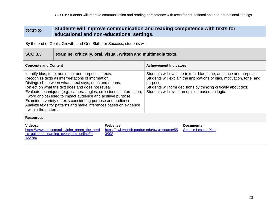### **GCO 3: Students will improve communication and reading competence with texts for educational and non-educational settings.**

| <b>SCO 3.3</b>                                                                                                                                                                                                                                                                                                                                                                                                                                                                                                            | examine, critically, oral, visual, written and multimedia texts.                          |                                                                                                                                                                                                                                                                              |  |                                         |
|---------------------------------------------------------------------------------------------------------------------------------------------------------------------------------------------------------------------------------------------------------------------------------------------------------------------------------------------------------------------------------------------------------------------------------------------------------------------------------------------------------------------------|-------------------------------------------------------------------------------------------|------------------------------------------------------------------------------------------------------------------------------------------------------------------------------------------------------------------------------------------------------------------------------|--|-----------------------------------------|
| <b>Concepts and Content</b>                                                                                                                                                                                                                                                                                                                                                                                                                                                                                               |                                                                                           | <b>Achievement Indicators</b>                                                                                                                                                                                                                                                |  |                                         |
| Identify bias, tone, audience, and purpose in texts.<br>Recognize texts as interpretations of information.<br>Distinguish between what a text says, does and means.<br>Reflect on what the text does and does not reveal.<br>Evaluate techniques (e.g., camera angles, omissions of information,<br>word choice) used to impact audience and achieve purpose.<br>Examine a variety of texts considering purpose and audience.<br>Analyze texts for patterns and make inferences based on evidence<br>within the patterns. |                                                                                           | Students will evaluate text for bias, tone, audience and purpose.<br>Students will explain the implications of bias, motivation, tone, and<br>purpose.<br>Students will form decisions by thinking critically about text.<br>Students will revise an opinion based on logic. |  |                                         |
| <b>Resources</b>                                                                                                                                                                                                                                                                                                                                                                                                                                                                                                          |                                                                                           |                                                                                                                                                                                                                                                                              |  |                                         |
| <b>Videos:</b><br>133780                                                                                                                                                                                                                                                                                                                                                                                                                                                                                                  | https://www.ted.com/talks/john green the nerd<br>s_guide_to_learning_everything_online#t- | <b>Websites:</b><br>https://owl.english.purdue.edu/owl/resource/55<br>3/03/                                                                                                                                                                                                  |  | Documents:<br><b>Sample Lesson Plan</b> |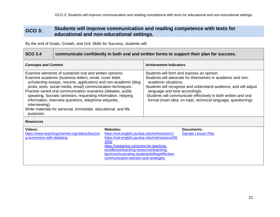### **GCO 3: Students will improve communication and reading competence with texts for educational and non-educational settings.**

| <b>SCO 3.4</b>                                                                                                                                                                                                                                                                                                                                                                                                                                                                                                                                       | communicate confidently in both oral and written forms to support their plan for success. |                                                                                                                                                                                                                                                                                                                                                                            |  |                                  |
|------------------------------------------------------------------------------------------------------------------------------------------------------------------------------------------------------------------------------------------------------------------------------------------------------------------------------------------------------------------------------------------------------------------------------------------------------------------------------------------------------------------------------------------------------|-------------------------------------------------------------------------------------------|----------------------------------------------------------------------------------------------------------------------------------------------------------------------------------------------------------------------------------------------------------------------------------------------------------------------------------------------------------------------------|--|----------------------------------|
| <b>Concepts and Content</b>                                                                                                                                                                                                                                                                                                                                                                                                                                                                                                                          |                                                                                           | <b>Achievement Indicators</b>                                                                                                                                                                                                                                                                                                                                              |  |                                  |
| Examine elements of sustained oral and written opinions.<br>Examine academic (business letters, email, cover letter,<br>scholarship essays, resume, application) and non-academic (blog<br>posts, texts, social media, email) communication techniques.<br>Practise varied oral communication scenarios (debates. public<br>speaking, Socratic seminars, requesting information, relaying<br>information, interview questions, telephone etiquette,<br>interviewing).<br>Write materials for personal, immediate, educational, and life<br>purposes. |                                                                                           | Students will form and express an opinion.<br>Students will advocate for themselves in academic and non-<br>academic situations.<br>Students will recognize and understand audience, and will adjust<br>language and tone accordingly.<br>Students will communicate effectively in both written and oral<br>format (main idea, on topic, technical language, questioning). |  |                                  |
| <b>Resources</b>                                                                                                                                                                                                                                                                                                                                                                                                                                                                                                                                     |                                                                                           |                                                                                                                                                                                                                                                                                                                                                                            |  |                                  |
| Videos:<br>g-economics-with-debating                                                                                                                                                                                                                                                                                                                                                                                                                                                                                                                 | https://www.teachingchannel.org/videos/teachin                                            | <b>Websites:</b><br>https://owl.english.purdue.edu/owl/section/1/<br>https://owl.english.purdue.edu/owl/resource/55<br>3/03/<br>https://uwaterloo.ca/centre-for-teaching-<br>excellence/teaching-resources/teaching-<br>tips/communicating-students/telling/effective-<br>communication-barriers-and-strategies                                                            |  | Documents:<br>Sample Lesson Plan |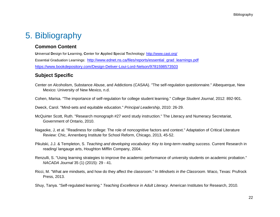# <span id="page-24-1"></span><span id="page-24-0"></span>5. Bibliography

### **Common Content**

**U**niversal **D**esign for **L**earning, **C**enter for **A**pplied **S**pecial **T**echnology:<http://www.cast.org/> Essential Graduation Learnings: [http://www.ednet.ns.ca/files/reports/essential\\_grad\\_learnings.pdf](http://www.ednet.ns.ca/files/reports/essential_grad_learnings.pdf) <https://www.bookdepository.com/Design-Deliver-Loui-Lord-Nelson/9781598573503>

### <span id="page-24-2"></span>**Subject Specific**

- Center on Alcoholism, Substance Abuse, and Addictions (CASAA). "The self-regulation questionnaire." Albequerque, New Mexico: University of New Mexico, n.d.
- Cohen, Marisa. "The importance of self-regulation for college student learning." *College Student Journal*, 2012: 892-901.

Dweck, Carol. "Mind-sets and equitable education." *Principal Leadership*, 2010: 26-29.

- McQuirter Scott, Ruth. "Research monograph #27 word study instruction." The Literacy and Numeracy Secretariat, Government of Ontario, 2010.
- Nagaoke, J, et al. "Readiness for college: The role of noncognitive factors and context." Adaptation of Critical Literature Review: Chic, Annenberg Institute for School Reform, Chicago, 2013, 45-52.
- Pikulski, J.J. & Templeton, S. *Teaching and developing vocabulary: Key to long-term reading success.* Current Research in reading/ langauge arts, Houghton Mifflin Company, 2004.
- Renzulli, S. "Using learning strategies to improve the academic performance of university students on academic probation." *NACADA Journal* 35 (1) (2015): 29 - 41.
- Ricci, M. "What are mindsets, and how do they affect the classroom." In *Mindsets in the Classroom*. Waco, Texas: Prufrock Press, 2013.
- Shuy, Tanya. "Self-regulated learning." *Teaching Excellence in Adult Literacy.* American Institutes for Research, 2010.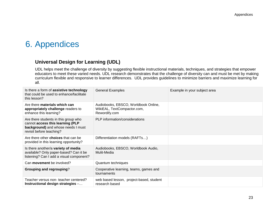### <span id="page-25-0"></span>6. Appendices

### <span id="page-25-1"></span> **Universal Design for Learning (UDL)**

UDL helps meet the challenge of diversity by suggesting flexible instructional materials, techniques, and strategies that empower educators to meet these varied needs. UDL research demonstrates that the challenge of diversity can and must be met by making curriculum flexible and responsive to learner differences. UDL provides guidelines to minimize barriers and maximize learning for all.

| Is there a form of assistive technology<br>that could be used to enhance/facilitate<br>this lesson?                                        | <b>General Examples</b>                                                              | Example in your subject area |
|--------------------------------------------------------------------------------------------------------------------------------------------|--------------------------------------------------------------------------------------|------------------------------|
| Are there materials which can<br>appropriately challenge readers to<br>enhance this learning?                                              | Audiobooks, EBSCO, Worldbook Online,<br>WikiEAL, TextCompactor.com,<br>Rewordify.com |                              |
| Are there students in this group who<br>cannot access this learning (PLP<br>background) and whose needs I must<br>revisit before teaching? | PLP information/considerations                                                       |                              |
| Are there other <b>choices</b> that can be<br>provided in this learning opportunity?                                                       | Differentiation models (RAFTs)                                                       |                              |
| Is there another/a variety of media<br>available? Only paper-based? Can it be<br>listening? Can I add a visual component?                  | Audiobooks, EBSCO, Worldbook Audio,<br>Mulit-Media                                   |                              |
| Can <b>movement</b> be involved?                                                                                                           | Quantum techniques                                                                   |                              |
| <b>Grouping and regrouping?</b>                                                                                                            | Cooperative learning, teams, games and<br>tournaments                                |                              |
| Teacher versus non- teacher centered?<br>Instructional design strategies -                                                                 | web based lesson, project-based, student<br>research based                           |                              |